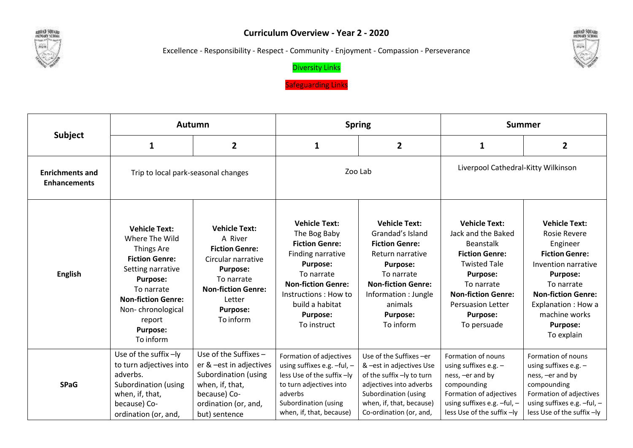

## **Curriculum Overview - Year 2 - 2020**

Excellence - Responsibility - Respect - Community - Enjoyment - Compassion - Perseverance



## Diversity Links

Safeguarding Links

|                                               | Autumn                                                                                                                                                                                                                          |                                                                                                                                                                                        | <b>Spring</b>                                                                                                                                                                                                                  |                                                                                                                                                                                                                        | <b>Summer</b>                                                                                                                                                                                                                              |                                                                                                                                                                                                                                                |
|-----------------------------------------------|---------------------------------------------------------------------------------------------------------------------------------------------------------------------------------------------------------------------------------|----------------------------------------------------------------------------------------------------------------------------------------------------------------------------------------|--------------------------------------------------------------------------------------------------------------------------------------------------------------------------------------------------------------------------------|------------------------------------------------------------------------------------------------------------------------------------------------------------------------------------------------------------------------|--------------------------------------------------------------------------------------------------------------------------------------------------------------------------------------------------------------------------------------------|------------------------------------------------------------------------------------------------------------------------------------------------------------------------------------------------------------------------------------------------|
| <b>Subject</b>                                | 1                                                                                                                                                                                                                               | $\mathbf{2}$                                                                                                                                                                           | 1                                                                                                                                                                                                                              | $\mathbf{2}$                                                                                                                                                                                                           | $\mathbf{1}$                                                                                                                                                                                                                               | $\overline{2}$                                                                                                                                                                                                                                 |
| <b>Enrichments and</b><br><b>Enhancements</b> | Trip to local park-seasonal changes                                                                                                                                                                                             |                                                                                                                                                                                        | Zoo Lab                                                                                                                                                                                                                        |                                                                                                                                                                                                                        | Liverpool Cathedral-Kitty Wilkinson                                                                                                                                                                                                        |                                                                                                                                                                                                                                                |
| <b>English</b>                                | <b>Vehicle Text:</b><br>Where The Wild<br>Things Are<br><b>Fiction Genre:</b><br>Setting narrative<br><b>Purpose:</b><br>To narrate<br><b>Non-fiction Genre:</b><br>Non-chronological<br>report<br><b>Purpose:</b><br>To inform | <b>Vehicle Text:</b><br>A River<br><b>Fiction Genre:</b><br>Circular narrative<br><b>Purpose:</b><br>To narrate<br><b>Non-fiction Genre:</b><br>Letter<br><b>Purpose:</b><br>To inform | <b>Vehicle Text:</b><br>The Bog Baby<br><b>Fiction Genre:</b><br>Finding narrative<br><b>Purpose:</b><br>To narrate<br><b>Non-fiction Genre:</b><br>Instructions : How to<br>build a habitat<br><b>Purpose:</b><br>To instruct | <b>Vehicle Text:</b><br>Grandad's Island<br><b>Fiction Genre:</b><br>Return narrative<br><b>Purpose:</b><br>To narrate<br><b>Non-fiction Genre:</b><br>Information : Jungle<br>animals<br><b>Purpose:</b><br>To inform | <b>Vehicle Text:</b><br>Jack and the Baked<br><b>Beanstalk</b><br><b>Fiction Genre:</b><br><b>Twisted Tale</b><br><b>Purpose:</b><br>To narrate<br><b>Non-fiction Genre:</b><br><b>Persuasion Letter</b><br><b>Purpose:</b><br>To persuade | <b>Vehicle Text:</b><br><b>Rosie Revere</b><br>Engineer<br><b>Fiction Genre:</b><br>Invention narrative<br><b>Purpose:</b><br>To narrate<br><b>Non-fiction Genre:</b><br>Explanation : How a<br>machine works<br><b>Purpose:</b><br>To explain |
| <b>SPaG</b>                                   | Use of the suffix -ly<br>to turn adjectives into<br>adverbs.<br>Subordination (using<br>when, if, that,<br>because) Co-<br>ordination (or, and,                                                                                 | Use of the Suffixes -<br>er & -est in adjectives<br>Subordination (using<br>when, if, that,<br>because) Co-<br>ordination (or, and,<br>but) sentence                                   | Formation of adjectives<br>using suffixes e.g. -ful, -<br>less Use of the suffix -ly<br>to turn adjectives into<br>adverbs<br>Subordination (using<br>when, if, that, because)                                                 | Use of the Suffixes - er<br>& -est in adjectives Use<br>of the suffix -ly to turn<br>adjectives into adverbs<br>Subordination (using<br>when, if, that, because)<br>Co-ordination (or, and,                            | Formation of nouns<br>using suffixes e.g. -<br>ness, -er and by<br>compounding<br>Formation of adjectives<br>using suffixes e.g. -ful, -<br>less Use of the suffix -ly                                                                     | Formation of nouns<br>using suffixes e.g. -<br>ness, -er and by<br>compounding<br>Formation of adjectives<br>using suffixes e.g. -ful, -<br>less Use of the suffix -ly                                                                         |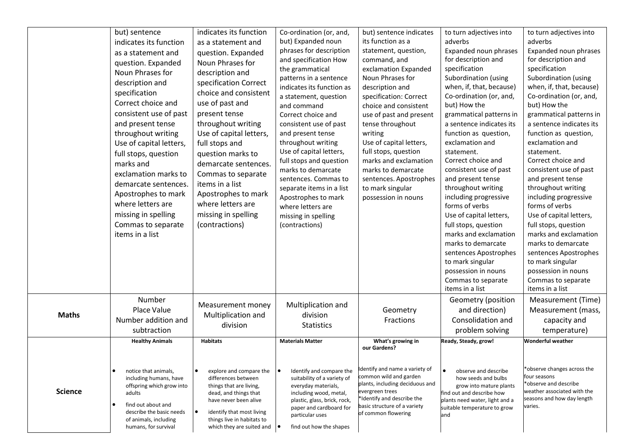|                | but) sentence<br>indicates its function<br>as a statement and<br>question. Expanded<br>Noun Phrases for<br>description and<br>specification<br>Correct choice and<br>consistent use of past<br>and present tense<br>throughout writing<br>Use of capital letters,<br>full stops, question<br>marks and<br>exclamation marks to<br>demarcate sentences.<br>Apostrophes to mark<br>where letters are<br>missing in spelling<br>Commas to separate<br>items in a list | indicates its function<br>as a statement and<br>question. Expanded<br>Noun Phrases for<br>description and<br>specification Correct<br>choice and consistent<br>use of past and<br>present tense<br>throughout writing<br>Use of capital letters,<br>full stops and<br>question marks to<br>demarcate sentences.<br>Commas to separate<br>items in a list<br>Apostrophes to mark<br>where letters are<br>missing in spelling<br>(contractions) | Co-ordination (or, and,<br>but) Expanded noun<br>phrases for description<br>and specification How<br>the grammatical<br>patterns in a sentence<br>indicates its function as<br>a statement, question<br>and command<br>Correct choice and<br>consistent use of past<br>and present tense<br>throughout writing<br>Use of capital letters,<br>full stops and question<br>marks to demarcate<br>sentences. Commas to<br>separate items in a list<br>Apostrophes to mark<br>where letters are<br>missing in spelling<br>(contractions) | but) sentence indicates<br>its function as a<br>statement, question,<br>command, and<br>exclamation Expanded<br>Noun Phrases for<br>description and<br>specification: Correct<br>choice and consistent<br>use of past and present<br>tense throughout<br>writing<br>Use of capital letters,<br>full stops, question<br>marks and exclamation<br>marks to demarcate<br>sentences. Apostrophes<br>to mark singular<br>possession in nouns | to turn adjectives into<br>adverbs<br>Expanded noun phrases<br>for description and<br>specification<br>Subordination (using<br>when, if, that, because)<br>Co-ordination (or, and,<br>but) How the<br>grammatical patterns in<br>a sentence indicates its<br>function as question,<br>exclamation and<br>statement.<br>Correct choice and<br>consistent use of past<br>and present tense<br>throughout writing<br>including progressive<br>forms of verbs<br>Use of capital letters,<br>full stops, question<br>marks and exclamation<br>marks to demarcate<br>sentences Apostrophes<br>to mark singular<br>possession in nouns<br>Commas to separate<br>items in a list | to turn adjectives into<br>adverbs<br>Expanded noun phrases<br>for description and<br>specification<br>Subordination (using<br>when, if, that, because)<br>Co-ordination (or, and,<br>but) How the<br>grammatical patterns in<br>a sentence indicates its<br>function as question,<br>exclamation and<br>statement.<br>Correct choice and<br>consistent use of past<br>and present tense<br>throughout writing<br>including progressive<br>forms of verbs<br>Use of capital letters,<br>full stops, question<br>marks and exclamation<br>marks to demarcate<br>sentences Apostrophes<br>to mark singular<br>possession in nouns<br>Commas to separate<br>items in a list |
|----------------|--------------------------------------------------------------------------------------------------------------------------------------------------------------------------------------------------------------------------------------------------------------------------------------------------------------------------------------------------------------------------------------------------------------------------------------------------------------------|-----------------------------------------------------------------------------------------------------------------------------------------------------------------------------------------------------------------------------------------------------------------------------------------------------------------------------------------------------------------------------------------------------------------------------------------------|-------------------------------------------------------------------------------------------------------------------------------------------------------------------------------------------------------------------------------------------------------------------------------------------------------------------------------------------------------------------------------------------------------------------------------------------------------------------------------------------------------------------------------------|-----------------------------------------------------------------------------------------------------------------------------------------------------------------------------------------------------------------------------------------------------------------------------------------------------------------------------------------------------------------------------------------------------------------------------------------|--------------------------------------------------------------------------------------------------------------------------------------------------------------------------------------------------------------------------------------------------------------------------------------------------------------------------------------------------------------------------------------------------------------------------------------------------------------------------------------------------------------------------------------------------------------------------------------------------------------------------------------------------------------------------|--------------------------------------------------------------------------------------------------------------------------------------------------------------------------------------------------------------------------------------------------------------------------------------------------------------------------------------------------------------------------------------------------------------------------------------------------------------------------------------------------------------------------------------------------------------------------------------------------------------------------------------------------------------------------|
| <b>Maths</b>   | Number<br>Place Value<br>Number addition and<br>subtraction                                                                                                                                                                                                                                                                                                                                                                                                        | Measurement money<br>Multiplication and<br>division                                                                                                                                                                                                                                                                                                                                                                                           | Multiplication and<br>division<br><b>Statistics</b>                                                                                                                                                                                                                                                                                                                                                                                                                                                                                 | Geometry<br>Fractions                                                                                                                                                                                                                                                                                                                                                                                                                   | Geometry (position<br>and direction)<br>Consolidation and<br>problem solving                                                                                                                                                                                                                                                                                                                                                                                                                                                                                                                                                                                             | Measurement (Time)<br>Measurement (mass,<br>capacity and<br>temperature)                                                                                                                                                                                                                                                                                                                                                                                                                                                                                                                                                                                                 |
|                | <b>Healthy Animals</b>                                                                                                                                                                                                                                                                                                                                                                                                                                             | <b>Habitats</b>                                                                                                                                                                                                                                                                                                                                                                                                                               | <b>Materials Matter</b>                                                                                                                                                                                                                                                                                                                                                                                                                                                                                                             | What's growing in<br>our Gardens?                                                                                                                                                                                                                                                                                                                                                                                                       | Ready, Steady, grow!                                                                                                                                                                                                                                                                                                                                                                                                                                                                                                                                                                                                                                                     | Wonderful weather                                                                                                                                                                                                                                                                                                                                                                                                                                                                                                                                                                                                                                                        |
| <b>Science</b> | $\bullet$<br>notice that animals,<br>including humans, have<br>offspring which grow into<br>adults<br>find out about and<br>$\bullet$<br>describe the basic needs<br>of animals, including<br>humans, for survival                                                                                                                                                                                                                                                 | explore and compare the<br>$\bullet$<br>differences between<br>things that are living,<br>dead, and things that<br>have never been alive<br>identify that most living<br>∣ ●<br>things live in habitats to<br>which they are suited and $\vert \bullet \vert$                                                                                                                                                                                 | Identify and compare the<br>∣•<br>suitability of a variety of<br>everyday materials,<br>including wood, metal,<br>plastic, glass, brick, rock,<br>paper and cardboard for<br>particular uses<br>find out how the shapes                                                                                                                                                                                                                                                                                                             | Identify and name a variety of<br>common wild and garden<br>plants, including deciduous and<br>evergreen trees<br>*Identify and describe the<br>basic structure of a variety<br>of common flowering                                                                                                                                                                                                                                     | observe and describe<br>$\bullet$<br>how seeds and bulbs<br>grow into mature plants<br>find out and describe how<br>plants need water, light and a<br>suitable temperature to grow<br>and                                                                                                                                                                                                                                                                                                                                                                                                                                                                                | *observe changes across the<br>four seasons<br>*observe and describe<br>weather associated with the<br>seasons and how day length<br>varies.                                                                                                                                                                                                                                                                                                                                                                                                                                                                                                                             |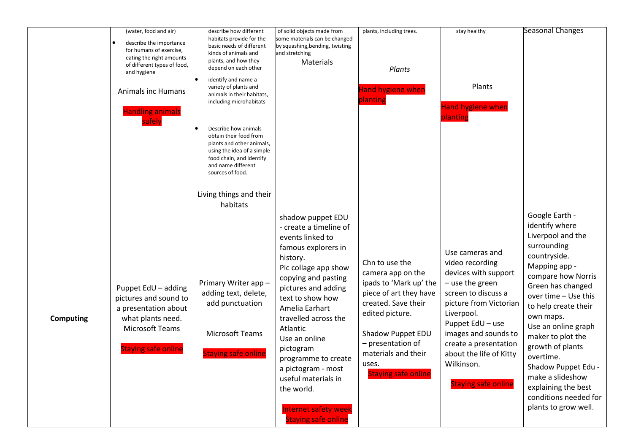|                  | (water, food and air)<br>describe the importance<br>for humans of exercise,<br>eating the right amounts<br>of different types of food,<br>and hygiene<br><b>Animals inc Humans</b><br>Handling animals<br>safely | describe how different<br>habitats provide for the<br>basic needs of different<br>kinds of animals and<br>plants, and how they<br>depend on each other<br>identify and name a<br>variety of plants and<br>animals in their habitats,<br>including microhabitats<br>Describe how animals<br>obtain their food from<br>plants and other animals,<br>using the idea of a simple<br>food chain, and identify<br>and name different<br>sources of food.<br>Living things and their<br>habitats | of solid objects made from<br>some materials can be changed<br>by squashing, bending, twisting<br>and stretching<br>Materials                                                                                                                                                                                                                                                                                                   | plants, including trees.<br>Plants<br><b>Hand hygiene when</b><br>planting                                                                                                                                                                | stay healthy<br>Plants<br><b>Hand hygiene when</b><br>planting                                                                                                                                                                                                                           | <b>Seasonal Changes</b>                                                                                                                                                                                                                                                                                                                                                                                       |
|------------------|------------------------------------------------------------------------------------------------------------------------------------------------------------------------------------------------------------------|-------------------------------------------------------------------------------------------------------------------------------------------------------------------------------------------------------------------------------------------------------------------------------------------------------------------------------------------------------------------------------------------------------------------------------------------------------------------------------------------|---------------------------------------------------------------------------------------------------------------------------------------------------------------------------------------------------------------------------------------------------------------------------------------------------------------------------------------------------------------------------------------------------------------------------------|-------------------------------------------------------------------------------------------------------------------------------------------------------------------------------------------------------------------------------------------|------------------------------------------------------------------------------------------------------------------------------------------------------------------------------------------------------------------------------------------------------------------------------------------|---------------------------------------------------------------------------------------------------------------------------------------------------------------------------------------------------------------------------------------------------------------------------------------------------------------------------------------------------------------------------------------------------------------|
| <b>Computing</b> | Puppet EdU - adding<br>pictures and sound to<br>a presentation about<br>what plants need.<br>Microsoft Teams<br><b>Staying safe online</b>                                                                       | Primary Writer app-<br>adding text, delete,<br>add punctuation<br><b>Microsoft Teams</b><br><b>Staying safe online</b>                                                                                                                                                                                                                                                                                                                                                                    | shadow puppet EDU<br>- create a timeline of<br>events linked to<br>famous explorers in<br>history.<br>Pic collage app show<br>copying and pasting<br>pictures and adding<br>text to show how<br>Amelia Earhart<br>travelled across the<br>Atlantic<br>Use an online<br>pictogram<br>programme to create<br>a pictogram - most<br>useful materials in<br>the world.<br><b>Internet safety week</b><br><b>Staying safe online</b> | Chn to use the<br>camera app on the<br>ipads to 'Mark up' the<br>piece of art they have<br>created. Save their<br>edited picture.<br>Shadow Puppet EDU<br>- presentation of<br>materials and their<br>uses.<br><b>Staying safe online</b> | Use cameras and<br>video recording<br>devices with support<br>- use the green<br>screen to discuss a<br>picture from Victorian<br>Liverpool.<br>Puppet EdU - use<br>images and sounds to<br>create a presentation<br>about the life of Kitty<br>Wilkinson.<br><b>Staying safe online</b> | Google Earth -<br>identify where<br>Liverpool and the<br>surrounding<br>countryside.<br>Mapping app -<br>compare how Norris<br>Green has changed<br>over time - Use this<br>to help create their<br>own maps.<br>Use an online graph<br>maker to plot the<br>growth of plants<br>overtime.<br>Shadow Puppet Edu -<br>make a slideshow<br>explaining the best<br>conditions needed for<br>plants to grow well. |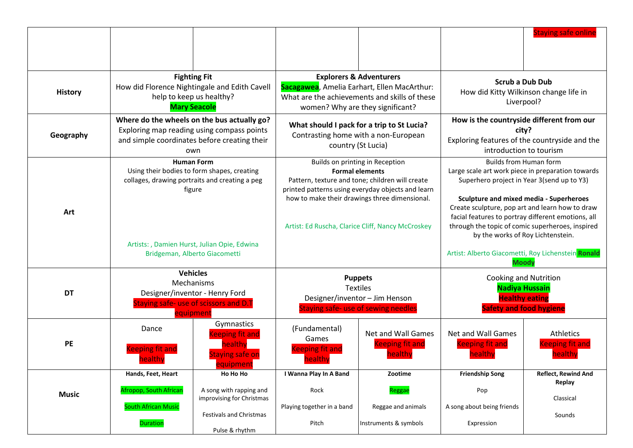|                |                                                                                                                                                                                                               |                                                                                                                      |                                                                                                                                                                                                                                                                         |                                                                       |                                                                                                                                                                                                                                                                                                                                                                                                                                                            | <b>Staying safe online</b>                                  |
|----------------|---------------------------------------------------------------------------------------------------------------------------------------------------------------------------------------------------------------|----------------------------------------------------------------------------------------------------------------------|-------------------------------------------------------------------------------------------------------------------------------------------------------------------------------------------------------------------------------------------------------------------------|-----------------------------------------------------------------------|------------------------------------------------------------------------------------------------------------------------------------------------------------------------------------------------------------------------------------------------------------------------------------------------------------------------------------------------------------------------------------------------------------------------------------------------------------|-------------------------------------------------------------|
| <b>History</b> | <b>Fighting Fit</b><br>How did Florence Nightingale and Edith Cavell<br>help to keep us healthy?<br><b>Mary Seacole</b>                                                                                       |                                                                                                                      | <b>Explorers &amp; Adventurers</b><br>Sacagawea, Amelia Earhart, Ellen MacArthur:<br>What are the achievements and skills of these<br>women? Why are they significant?                                                                                                  |                                                                       | <b>Scrub a Dub Dub</b><br>How did Kitty Wilkinson change life in<br>Liverpool?                                                                                                                                                                                                                                                                                                                                                                             |                                                             |
| Geography      | Where do the wheels on the bus actually go?<br>Exploring map reading using compass points<br>and simple coordinates before creating their<br>own                                                              |                                                                                                                      | What should I pack for a trip to St Lucia?<br>Contrasting home with a non-European<br>country (St Lucia)                                                                                                                                                                |                                                                       | How is the countryside different from our<br>city?<br>Exploring features of the countryside and the<br>introduction to tourism                                                                                                                                                                                                                                                                                                                             |                                                             |
| Art            | <b>Human Form</b><br>Using their bodies to form shapes, creating<br>collages, drawing portraits and creating a peg<br>figure<br>Artists: , Damien Hurst, Julian Opie, Edwina<br>Bridgeman, Alberto Giacometti |                                                                                                                      | Builds on printing in Reception<br><b>Formal elements</b><br>Pattern, texture and tone; children will create<br>printed patterns using everyday objects and learn<br>how to make their drawings three dimensional.<br>Artist: Ed Ruscha, Clarice Cliff, Nancy McCroskey |                                                                       | <b>Builds from Human form</b><br>Large scale art work piece in preparation towards<br>Superhero project in Year 3(send up to Y3)<br><b>Sculpture and mixed media - Superheroes</b><br>Create sculpture, pop art and learn how to draw<br>facial features to portray different emotions, all<br>through the topic of comic superheroes, inspired<br>by the works of Roy Lichtenstein.<br>Artist: Alberto Giacometti, Roy Lichenstein Ronald<br><b>Moody</b> |                                                             |
| <b>DT</b>      | <b>Vehicles</b><br>Mechanisms<br>Designer/inventor - Henry Ford<br>Staying safe- use of scissors and D.T<br>equipment                                                                                         |                                                                                                                      | <b>Puppets</b><br><b>Textiles</b><br>Designer/inventor - Jim Henson<br>Staying safe- use of sewing needles                                                                                                                                                              |                                                                       | <b>Cooking and Nutrition</b><br><b>Nadiya Hussain</b><br><b>Healthy eating</b><br><b>Safety and food hygiene</b>                                                                                                                                                                                                                                                                                                                                           |                                                             |
| PE             | Dance<br><b>Keeping fit and</b><br>healthy                                                                                                                                                                    | Gymnastics<br><b>Ceping fit and</b><br>healthy<br><b>Staying safe on</b><br>equipment                                | (Fundamental)<br>Games<br><b>Keeping fit and</b><br>healthy                                                                                                                                                                                                             | <b>Net and Wall Games</b><br><b>Keeping fit and</b><br><b>realthy</b> | Net and Wall Games<br><b>Keeping fit and</b><br><b>healthy</b>                                                                                                                                                                                                                                                                                                                                                                                             | Athletics<br><b>Keeping fit and</b><br>healthy              |
| <b>Music</b>   | Hands, Feet, Heart<br>Afropop, South African<br><b>South African Music</b><br><b>Duration</b>                                                                                                                 | Ho Ho Ho<br>A song with rapping and<br>improvising for Christmas<br><b>Festivals and Christmas</b><br>Pulse & rhythm | I Wanna Play In A Band<br>Rock<br>Playing together in a band<br>Pitch                                                                                                                                                                                                   | Zootime<br>Reggae<br>Reggae and animals<br>Instruments & symbols      | <b>Friendship Song</b><br>Pop<br>A song about being friends<br>Expression                                                                                                                                                                                                                                                                                                                                                                                  | <b>Reflect, Rewind And</b><br>Replay<br>Classical<br>Sounds |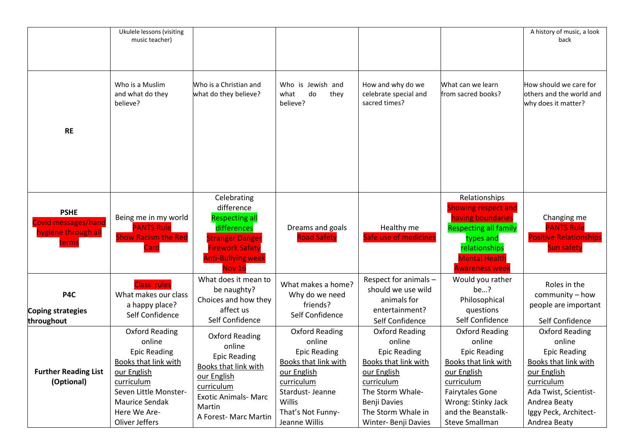|                                                                         | Ukulele lessons (visiting<br>music teacher)                                                                                                                                              |                                                                                                                                                                                      |                                                                                                                                                                                       |                                                                                                                                                                                                            |                                                                                                                                                                                                            | A history of music, a look<br>back                                                                                                                                                                   |
|-------------------------------------------------------------------------|------------------------------------------------------------------------------------------------------------------------------------------------------------------------------------------|--------------------------------------------------------------------------------------------------------------------------------------------------------------------------------------|---------------------------------------------------------------------------------------------------------------------------------------------------------------------------------------|------------------------------------------------------------------------------------------------------------------------------------------------------------------------------------------------------------|------------------------------------------------------------------------------------------------------------------------------------------------------------------------------------------------------------|------------------------------------------------------------------------------------------------------------------------------------------------------------------------------------------------------|
| <b>RE</b>                                                               | Who is a Muslim<br>and what do they<br>believe?                                                                                                                                          | Who is a Christian and<br>what do they believe?                                                                                                                                      | Who is Jewish and<br>what<br>do<br>they<br>believe?                                                                                                                                   | How and why do we<br>celebrate special and<br>sacred times?                                                                                                                                                | What can we learn<br>from sacred books?                                                                                                                                                                    | How should we care for<br>others and the world and<br>why does it matter?                                                                                                                            |
| <b>PSHE</b><br>Covid messages/hand<br><b>ygiene through all</b><br>erms | Being me in my world<br><b>PANTS Rule</b><br><b>Show Racism the Red</b><br>Iard                                                                                                          | Celebrating<br>difference<br><b>Respecting all</b><br>differences<br><b>Stranger Danger</b><br><b>Firework Safety</b><br><b>Anti-Bullying week</b><br><b>Nov 16</b>                  | Dreams and goals<br><b>Road Safety</b>                                                                                                                                                | Healthy me<br>Safe use of medicines                                                                                                                                                                        | Relationships<br><b>Showing respect and</b><br>having boundaries<br><b>Respecting all family</b><br>types and<br>relationships<br><b>Mental Health</b><br><b>Awareness week</b>                            | Changing me<br><b>PANTS Rule</b><br><b>Positive Relationships</b><br><b>Sun safety</b>                                                                                                               |
| P4C<br>Coping strategies<br>throughout                                  | <b>Class rules</b><br>What makes our class<br>a happy place?<br>Self Confidence                                                                                                          | What does it mean to<br>be naughty?<br>Choices and how they<br>affect us<br>Self Confidence                                                                                          | What makes a home?<br>Why do we need<br>friends?<br>Self Confidence                                                                                                                   | Respect for animals -<br>should we use wild<br>animals for<br>entertainment?<br>Self Confidence                                                                                                            | Would you rather<br>be?<br>Philosophical<br>questions<br>Self Confidence                                                                                                                                   | Roles in the<br>community - how<br>people are important<br>Self Confidence                                                                                                                           |
| <b>Further Reading List</b><br>(Optional)                               | <b>Oxford Reading</b><br>online<br><b>Epic Reading</b><br>Books that link with<br>our English<br>curriculum<br>Seven Little Monster-<br>Maurice Sendak<br>Here We Are-<br>Oliver Jeffers | <b>Oxford Reading</b><br>online<br><b>Epic Reading</b><br><b>Books that link with</b><br>our English<br>curriculum<br><b>Exotic Animals- Marc</b><br>Martin<br>A Forest- Marc Martin | <b>Oxford Reading</b><br>online<br><b>Epic Reading</b><br><b>Books that link with</b><br>our English<br>curriculum<br>Stardust-Jeanne<br>Willis<br>That's Not Funny-<br>Jeanne Willis | <b>Oxford Reading</b><br>online<br><b>Epic Reading</b><br><b>Books that link with</b><br>our English<br>curriculum<br>The Storm Whale-<br>Benji Davies<br>The Storm Whale in<br><b>Winter-Benji Davies</b> | <b>Oxford Reading</b><br>online<br><b>Epic Reading</b><br>Books that link with<br>our English<br>curriculum<br><b>Fairytales Gone</b><br>Wrong: Stinky Jack<br>and the Beanstalk-<br><b>Steve Smallman</b> | <b>Oxford Reading</b><br>online<br><b>Epic Reading</b><br><b>Books that link with</b><br>our English<br>curriculum<br>Ada Twist, Scientist-<br>Andrea Beaty<br>Iggy Peck, Architect-<br>Andrea Beaty |